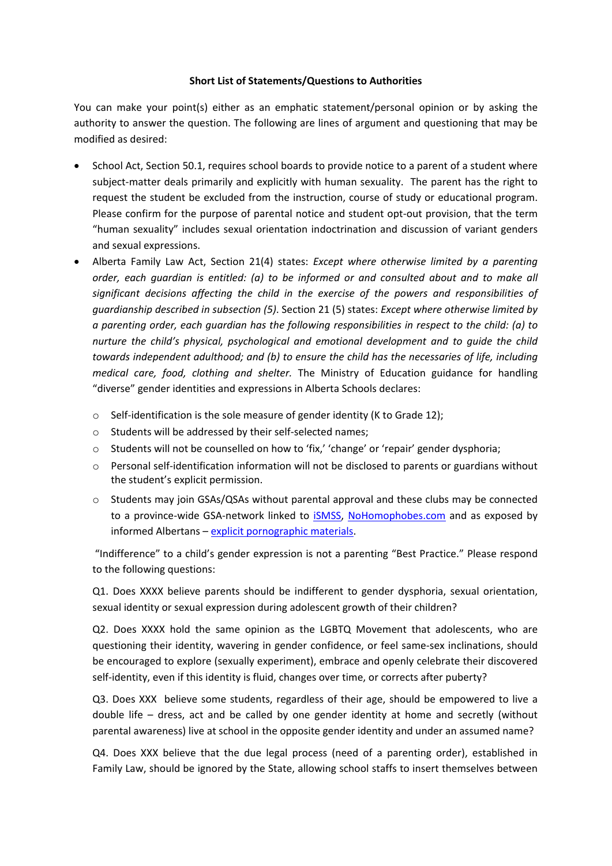## **Short List of Statements/Questions to Authorities**

You can make your point(s) either as an emphatic statement/personal opinion or by asking the authority to answer the question. The following are lines of argument and questioning that may be modified as desired:

- School Act, Section 50.1, requires school boards to provide notice to a parent of a student where subject-matter deals primarily and explicitly with human sexuality. The parent has the right to request the student be excluded from the instruction, course of study or educational program. Please confirm for the purpose of parental notice and student opt-out provision, that the term "human sexuality" includes sexual orientation indoctrination and discussion of variant genders and sexual expressions.
- Alberta Family Law Act, Section 21(4) states: *Except where otherwise limited by a parenting order, each guardian is entitled: (a) to be informed or and consulted about and to make all significant decisions affecting the child in the exercise of the powers and responsibilities of guardianship described in subsection (5)*. Section 21 (5) states: *Except where otherwise limited by a parenting order, each guardian has the following responsibilities in respect to the child: (a) to nurture the child's physical, psychological and emotional development and to guide the child towards independent adulthood; and (b) to ensure the child has the necessaries of life, including medical care, food, clothing and shelter.* The Ministry of Education guidance for handling "diverse" gender identities and expressions in Alberta Schools declares:
	- o Self-identification is the sole measure of gender identity (K to Grade 12);
	- o Students will be addressed by their self-selected names;
	- o Students will not be counselled on how to 'fix,' 'change' or 'repair' gender dysphoria;
	- o Personal self-identification information will not be disclosed to parents or guardians without the student's explicit permission.
	- $\circ$  Students may join GSAs/QSAs without parental approval and these clubs may be connected to a province-wide GSA-network linked to [iSMSS,](http://www.ismss.ualberta.ca/) [NoHomophobes.com](http://www.ismss.ualberta.ca/NoHomophobes) and as exposed by informed Albertans – [explicit pornographic materials.](https://informedalbertans.wordpress.com/2017/03/13/alberta-government-funds-website-directing-k-12-kids-to-sexually-graphic-content/)

"Indifference" to a child's gender expression is not a parenting "Best Practice." Please respond to the following questions:

Q1. Does XXXX believe parents should be indifferent to gender dysphoria, sexual orientation, sexual identity or sexual expression during adolescent growth of their children?

Q2. Does XXXX hold the same opinion as the LGBTQ Movement that adolescents, who are questioning their identity, wavering in gender confidence, or feel same-sex inclinations, should be encouraged to explore (sexually experiment), embrace and openly celebrate their discovered self-identity, even if this identity is fluid, changes over time, or corrects after puberty?

Q3. Does XXX believe some students, regardless of their age, should be empowered to live a double life – dress, act and be called by one gender identity at home and secretly (without parental awareness) live at school in the opposite gender identity and under an assumed name?

Q4. Does XXX believe that the due legal process (need of a parenting order), established in Family Law, should be ignored by the State, allowing school staffs to insert themselves between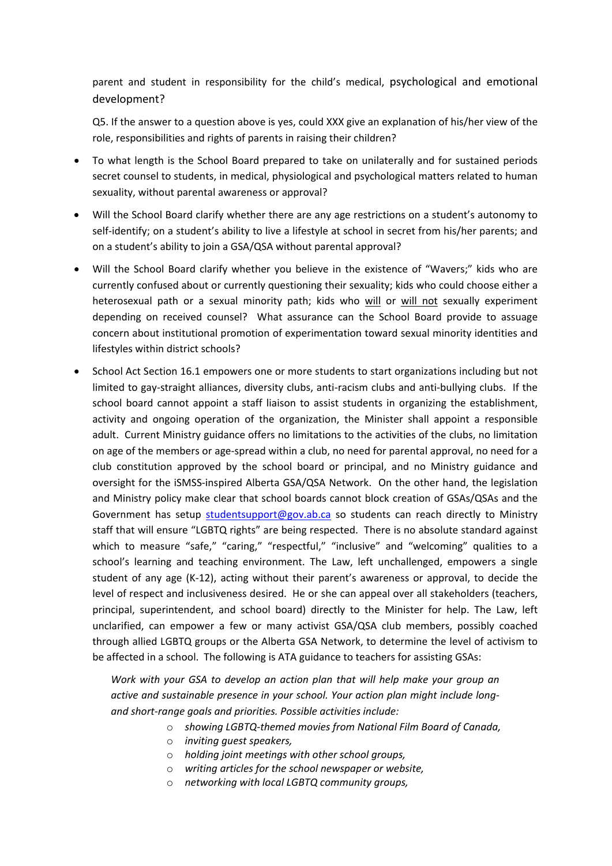parent and student in responsibility for the child's medical, psychological and emotional development?

Q5. If the answer to a question above is yes, could XXX give an explanation of his/her view of the role, responsibilities and rights of parents in raising their children?

- To what length is the School Board prepared to take on unilaterally and for sustained periods secret counsel to students, in medical, physiological and psychological matters related to human sexuality, without parental awareness or approval?
- Will the School Board clarify whether there are any age restrictions on a student's autonomy to self-identify; on a student's ability to live a lifestyle at school in secret from his/her parents; and on a student's ability to join a GSA/QSA without parental approval?
- Will the School Board clarify whether you believe in the existence of "Wavers;" kids who are currently confused about or currently questioning their sexuality; kids who could choose either a heterosexual path or a sexual minority path; kids who will or will not sexually experiment depending on received counsel? What assurance can the School Board provide to assuage concern about institutional promotion of experimentation toward sexual minority identities and lifestyles within district schools?
- School Act Section 16.1 empowers one or more students to start organizations including but not limited to gay-straight alliances, diversity clubs, anti-racism clubs and anti-bullying clubs. If the school board cannot appoint a staff liaison to assist students in organizing the establishment, activity and ongoing operation of the organization, the Minister shall appoint a responsible adult. Current Ministry guidance offers no limitations to the activities of the clubs, no limitation on age of the members or age-spread within a club, no need for parental approval, no need for a club constitution approved by the school board or principal, and no Ministry guidance and oversight for the iSMSS-inspired Alberta GSA/QSA Network. On the other hand, the legislation and Ministry policy make clear that school boards cannot block creation of GSAs/QSAs and the Government has setup [studentsupport@gov.ab.ca](mailto:studentsupport@gov.ab.ca) so students can reach directly to Ministry staff that will ensure "LGBTQ rights" are being respected. There is no absolute standard against which to measure "safe," "caring," "respectful," "inclusive" and "welcoming" qualities to a school's learning and teaching environment. The Law, left unchallenged, empowers a single student of any age (K-12), acting without their parent's awareness or approval, to decide the level of respect and inclusiveness desired. He or she can appeal over all stakeholders (teachers, principal, superintendent, and school board) directly to the Minister for help. The Law, left unclarified, can empower a few or many activist GSA/QSA club members, possibly coached through allied LGBTQ groups or the Alberta GSA Network, to determine the level of activism to be affected in a school. The following is ATA guidance to teachers for assisting GSAs:

*Work with your GSA to develop an action plan that will help make your group an active and sustainable presence in your school. Your action plan might include longand short-range goals and priorities. Possible activities include:*

- o *showing LGBTQ-themed movies from National Film Board of Canada,*
- o *inviting guest speakers,*
- o *holding joint meetings with other school groups,*
- o *writing articles for the school newspaper or website,*
- o *networking with local LGBTQ community groups,*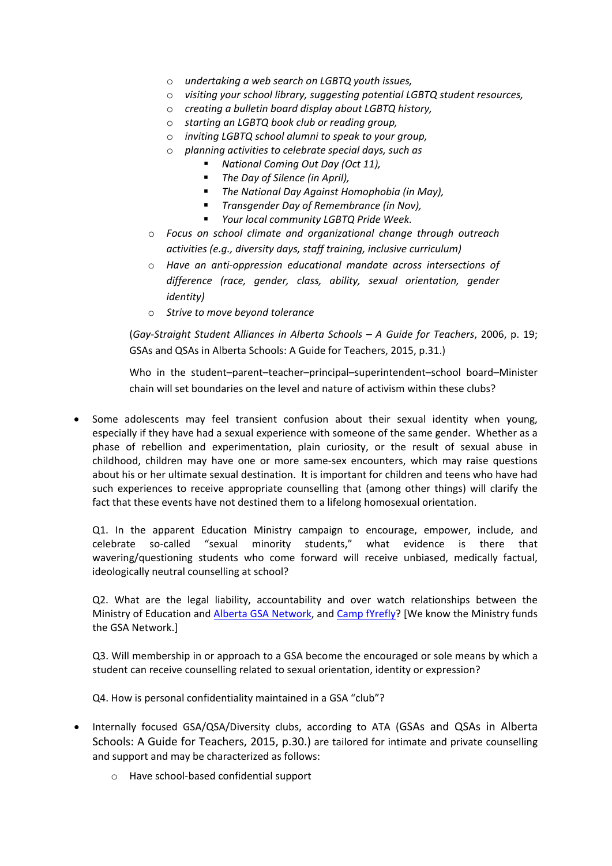- o *undertaking a web search on LGBTQ youth issues,*
- o *visiting your school library, suggesting potential LGBTQ student resources,*
- o *creating a bulletin board display about LGBTQ history,*
- o *starting an LGBTQ book club or reading group,*
- o *inviting LGBTQ school alumni to speak to your group,*
- o *planning activities to celebrate special days, such as*
	- *National Coming Out Day (Oct 11),*
	- *The Day of Silence (in April),*
	- *The National Day Against Homophobia (in May),*
	- *Transgender Day of Remembrance (in Nov),*
	- *Your local community LGBTQ Pride Week.*
- o *Focus on school climate and organizational change through outreach activities (e.g., diversity days, staff training, inclusive curriculum)*
- o *Have an anti-oppression educational mandate across intersections of difference (race, gender, class, ability, sexual orientation, gender identity)*
- o *Strive to move beyond tolerance*

(*Gay-Straight Student Alliances in Alberta Schools – A Guide for Teachers*, 2006, p. 19; GSAs and QSAs in Alberta Schools: A Guide for Teachers, 2015, p.31.)

Who in the student–parent–teacher–principal–superintendent–school board–Minister chain will set boundaries on the level and nature of activism within these clubs?

• Some adolescents may feel transient confusion about their sexual identity when young, especially if they have had a sexual experience with someone of the same gender. Whether as a phase of rebellion and experimentation, plain curiosity, or the result of sexual abuse in childhood, children may have one or more same-sex encounters, which may raise questions about his or her ultimate sexual destination. It is important for children and teens who have had such experiences to receive appropriate counselling that (among other things) will clarify the fact that these events have not destined them to a lifelong homosexual orientation.

Q1. In the apparent Education Ministry campaign to encourage, empower, include, and celebrate so-called "sexual minority students," what evidence is there that wavering/questioning students who come forward will receive unbiased, medically factual, ideologically neutral counselling at school?

Q2. What are the legal liability, accountability and over watch relationships between the Ministry of Education and [Alberta GSA Network,](http://albertagsanetwork.ca/) and [Camp fYrefly?](http://www.fyrefly.ualberta.ca/) [We know the Ministry funds the GSA Network.]

Q3. Will membership in or approach to a GSA become the encouraged or sole means by which a student can receive counselling related to sexual orientation, identity or expression?

Q4. How is personal confidentiality maintained in a GSA "club"?

- Internally focused GSA/QSA/Diversity clubs, according to ATA (GSAs and QSAs in Alberta Schools: A Guide for Teachers, 2015, p.30.) are tailored for intimate and private counselling and support and may be characterized as follows:
	- o Have school-based confidential support